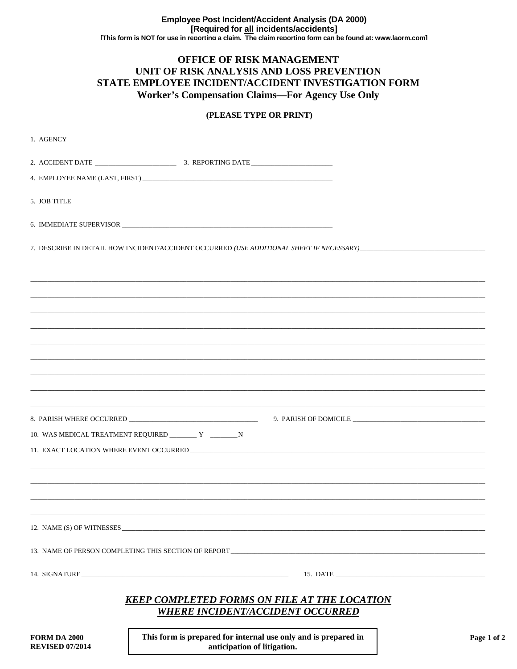## OFFICE OF RISK MANAGEMENT UNIT OF RISK ANALYSIS AND LOSS PREVENTION STATE EMPLOYEE INCIDENT/ACCIDENT INVESTIGATION FORM **Worker's Compensation Claims-For Agency Use Only**

## (PLEASE TYPE OR PRINT)

|                                               | 4. EMPLOYEE NAME (LAST, FIRST)                                                                 |      |
|-----------------------------------------------|------------------------------------------------------------------------------------------------|------|
|                                               | 5. JOB TITLE                                                                                   |      |
|                                               |                                                                                                |      |
|                                               |                                                                                                |      |
|                                               |                                                                                                |      |
|                                               |                                                                                                |      |
|                                               |                                                                                                |      |
|                                               |                                                                                                |      |
|                                               |                                                                                                |      |
|                                               |                                                                                                |      |
|                                               |                                                                                                |      |
|                                               | ,一个人的人都是一个人的人,我们就是一个人的人,我们就是一个人的人,我们就是一个人的人,我们就是一个人的人,我们就是一个人的人,我们就是一个人的人,我们就是一个人              |      |
|                                               |                                                                                                |      |
|                                               |                                                                                                |      |
|                                               | 10. WAS MEDICAL TREATMENT REQUIRED _________ Y __________ N                                    |      |
|                                               |                                                                                                |      |
|                                               |                                                                                                |      |
|                                               |                                                                                                |      |
|                                               |                                                                                                |      |
|                                               |                                                                                                |      |
|                                               | 12. NAME (S) OF WITNESSES                                                                      |      |
|                                               |                                                                                                |      |
|                                               | 13. NAME OF PERSON COMPLETING THIS SECTION OF REPORT ___________________________               |      |
|                                               |                                                                                                |      |
|                                               | <b>KEEP COMPLETED FORMS ON FILE AT THE LOCATION</b><br><b>WHERE INCIDENT/ACCIDENT OCCURRED</b> |      |
| <b>FORM DA 2000</b><br><b>REVISED 07/2014</b> | This form is prepared for internal use only and is prepared in<br>anticipation of litigation.  | Page |

anticipation of litigation.